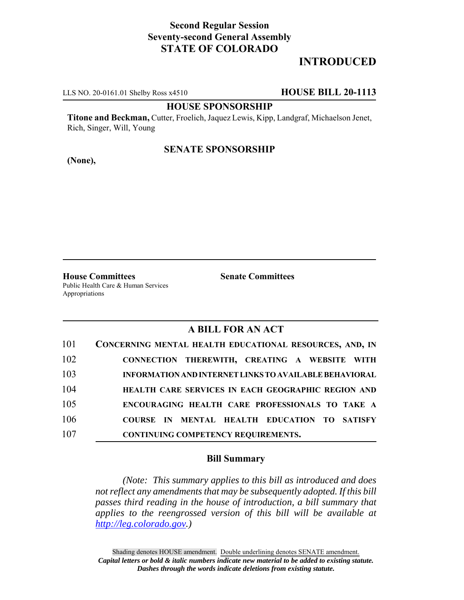# **Second Regular Session Seventy-second General Assembly STATE OF COLORADO**

# **INTRODUCED**

LLS NO. 20-0161.01 Shelby Ross x4510 **HOUSE BILL 20-1113**

#### **HOUSE SPONSORSHIP**

**Titone and Beckman,** Cutter, Froelich, Jaquez Lewis, Kipp, Landgraf, Michaelson Jenet, Rich, Singer, Will, Young

### **SENATE SPONSORSHIP**

**(None),**

**House Committees Senate Committees** Public Health Care & Human Services Appropriations

## **A BILL FOR AN ACT**

| 101 | CONCERNING MENTAL HEALTH EDUCATIONAL RESOURCES, AND, IN       |
|-----|---------------------------------------------------------------|
| 102 | CONNECTION THEREWITH, CREATING A WEBSITE WITH                 |
| 103 | <b>INFORMATION AND INTERNET LINKS TO AVAILABLE BEHAVIORAL</b> |
| 104 | <b>HEALTH CARE SERVICES IN EACH GEOGRAPHIC REGION AND</b>     |
| 105 | ENCOURAGING HEALTH CARE PROFESSIONALS TO TAKE A               |
| 106 | COURSE IN MENTAL HEALTH EDUCATION TO SATISFY                  |
| 107 | <b>CONTINUING COMPETENCY REQUIREMENTS.</b>                    |

#### **Bill Summary**

*(Note: This summary applies to this bill as introduced and does not reflect any amendments that may be subsequently adopted. If this bill passes third reading in the house of introduction, a bill summary that applies to the reengrossed version of this bill will be available at http://leg.colorado.gov.)*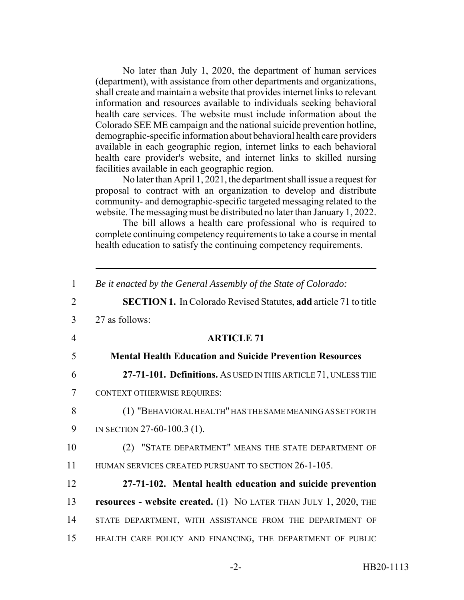No later than July 1, 2020, the department of human services (department), with assistance from other departments and organizations, shall create and maintain a website that provides internet links to relevant information and resources available to individuals seeking behavioral health care services. The website must include information about the Colorado SEE ME campaign and the national suicide prevention hotline, demographic-specific information about behavioral health care providers available in each geographic region, internet links to each behavioral health care provider's website, and internet links to skilled nursing facilities available in each geographic region.

No later than April 1, 2021, the department shall issue a request for proposal to contract with an organization to develop and distribute community- and demographic-specific targeted messaging related to the website. The messaging must be distributed no later than January 1, 2022.

The bill allows a health care professional who is required to complete continuing competency requirements to take a course in mental health education to satisfy the continuing competency requirements.

| $\mathbf{1}$    | Be it enacted by the General Assembly of the State of Colorado:         |
|-----------------|-------------------------------------------------------------------------|
| 2               | <b>SECTION 1.</b> In Colorado Revised Statutes, add article 71 to title |
| 3               | 27 as follows:                                                          |
| $\overline{4}$  | <b>ARTICLE 71</b>                                                       |
| 5               | <b>Mental Health Education and Suicide Prevention Resources</b>         |
| 6               | 27-71-101. Definitions. AS USED IN THIS ARTICLE 71, UNLESS THE          |
| $7\phantom{.0}$ | <b>CONTEXT OTHERWISE REQUIRES:</b>                                      |
| 8               | (1) "BEHAVIORAL HEALTH" HAS THE SAME MEANING AS SET FORTH               |
| 9               | IN SECTION 27-60-100.3 (1).                                             |
| 10              | (2) "STATE DEPARTMENT" MEANS THE STATE DEPARTMENT OF                    |
| 11              | HUMAN SERVICES CREATED PURSUANT TO SECTION 26-1-105.                    |
| 12              | 27-71-102. Mental health education and suicide prevention               |
| 13              | <b>resources - website created.</b> (1) NO LATER THAN JULY 1, 2020, THE |
| 14              | STATE DEPARTMENT, WITH ASSISTANCE FROM THE DEPARTMENT OF                |
| 15              | HEALTH CARE POLICY AND FINANCING, THE DEPARTMENT OF PUBLIC              |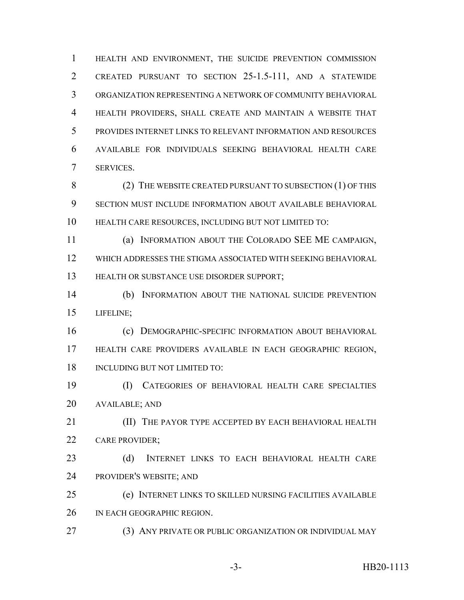HEALTH AND ENVIRONMENT, THE SUICIDE PREVENTION COMMISSION CREATED PURSUANT TO SECTION 25-1.5-111, AND A STATEWIDE ORGANIZATION REPRESENTING A NETWORK OF COMMUNITY BEHAVIORAL HEALTH PROVIDERS, SHALL CREATE AND MAINTAIN A WEBSITE THAT PROVIDES INTERNET LINKS TO RELEVANT INFORMATION AND RESOURCES AVAILABLE FOR INDIVIDUALS SEEKING BEHAVIORAL HEALTH CARE SERVICES.

8 (2) THE WEBSITE CREATED PURSUANT TO SUBSECTION (1) OF THIS SECTION MUST INCLUDE INFORMATION ABOUT AVAILABLE BEHAVIORAL HEALTH CARE RESOURCES, INCLUDING BUT NOT LIMITED TO:

 (a) INFORMATION ABOUT THE COLORADO SEE ME CAMPAIGN, WHICH ADDRESSES THE STIGMA ASSOCIATED WITH SEEKING BEHAVIORAL HEALTH OR SUBSTANCE USE DISORDER SUPPORT;

 (b) INFORMATION ABOUT THE NATIONAL SUICIDE PREVENTION LIFELINE;

 (c) DEMOGRAPHIC-SPECIFIC INFORMATION ABOUT BEHAVIORAL HEALTH CARE PROVIDERS AVAILABLE IN EACH GEOGRAPHIC REGION, INCLUDING BUT NOT LIMITED TO:

 (I) CATEGORIES OF BEHAVIORAL HEALTH CARE SPECIALTIES AVAILABLE; AND

**(II)** THE PAYOR TYPE ACCEPTED BY EACH BEHAVIORAL HEALTH CARE PROVIDER;

 (d) INTERNET LINKS TO EACH BEHAVIORAL HEALTH CARE PROVIDER'S WEBSITE; AND

 (e) INTERNET LINKS TO SKILLED NURSING FACILITIES AVAILABLE IN EACH GEOGRAPHIC REGION.

(3) ANY PRIVATE OR PUBLIC ORGANIZATION OR INDIVIDUAL MAY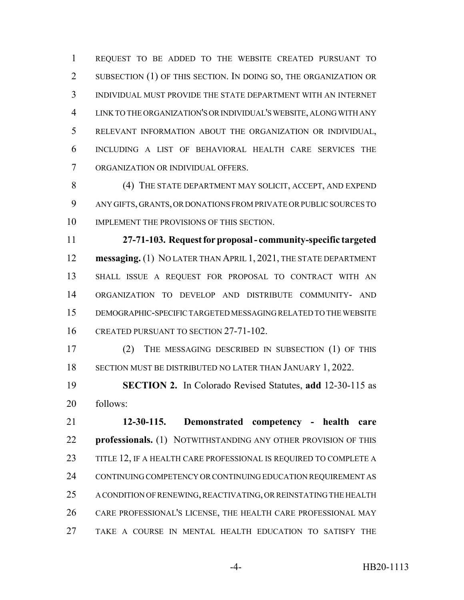REQUEST TO BE ADDED TO THE WEBSITE CREATED PURSUANT TO SUBSECTION (1) OF THIS SECTION. IN DOING SO, THE ORGANIZATION OR INDIVIDUAL MUST PROVIDE THE STATE DEPARTMENT WITH AN INTERNET LINK TO THE ORGANIZATION'S OR INDIVIDUAL'S WEBSITE, ALONG WITH ANY RELEVANT INFORMATION ABOUT THE ORGANIZATION OR INDIVIDUAL, INCLUDING A LIST OF BEHAVIORAL HEALTH CARE SERVICES THE ORGANIZATION OR INDIVIDUAL OFFERS.

8 (4) THE STATE DEPARTMENT MAY SOLICIT, ACCEPT, AND EXPEND ANY GIFTS, GRANTS, OR DONATIONS FROM PRIVATE OR PUBLIC SOURCES TO 10 IMPLEMENT THE PROVISIONS OF THIS SECTION.

 **27-71-103. Request for proposal - community-specific targeted messaging.** (1) NO LATER THAN APRIL 1, 2021, THE STATE DEPARTMENT SHALL ISSUE A REQUEST FOR PROPOSAL TO CONTRACT WITH AN ORGANIZATION TO DEVELOP AND DISTRIBUTE COMMUNITY- AND DEMOGRAPHIC-SPECIFIC TARGETED MESSAGING RELATED TO THE WEBSITE 16 CREATED PURSUANT TO SECTION 27-71-102.

 (2) THE MESSAGING DESCRIBED IN SUBSECTION (1) OF THIS SECTION MUST BE DISTRIBUTED NO LATER THAN JANUARY 1, 2022.

 **SECTION 2.** In Colorado Revised Statutes, **add** 12-30-115 as follows:

 **12-30-115. Demonstrated competency - health care professionals.** (1) NOTWITHSTANDING ANY OTHER PROVISION OF THIS 23 TITLE 12, IF A HEALTH CARE PROFESSIONAL IS REQUIRED TO COMPLETE A 24 CONTINUING COMPETENCY OR CONTINUING EDUCATION REQUIREMENT AS 25 A CONDITION OF RENEWING, REACTIVATING, OR REINSTATING THE HEALTH CARE PROFESSIONAL'S LICENSE, THE HEALTH CARE PROFESSIONAL MAY TAKE A COURSE IN MENTAL HEALTH EDUCATION TO SATISFY THE